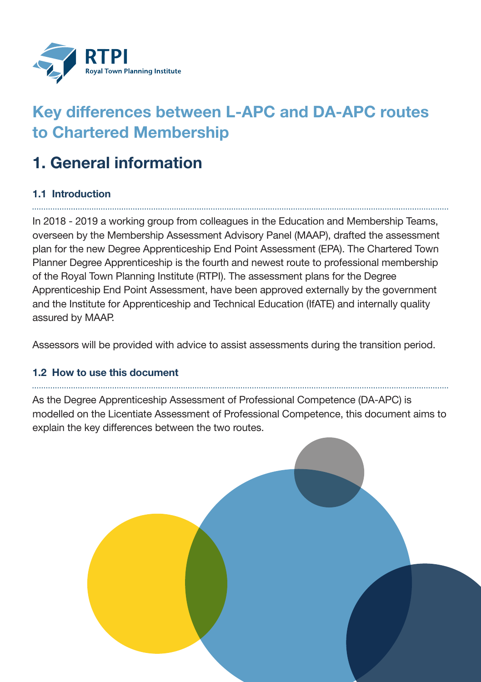

## Key differences between L-APC and DA-APC routes to Chartered Membership

## 1. General information

### 1.1 Introduction

In 2018 - 2019 a working group from colleagues in the Education and Membership Teams, overseen by the Membership Assessment Advisory Panel (MAAP), drafted the assessment plan for the new Degree Apprenticeship End Point Assessment (EPA). The Chartered Town Planner Degree Apprenticeship is the fourth and newest route to professional membership of the Royal Town Planning Institute (RTPI). The assessment plans for the Degree Apprenticeship End Point Assessment, have been approved externally by the government and the Institute for Apprenticeship and Technical Education (IfATE) and internally quality assured by MAAP.

Assessors will be provided with advice to assist assessments during the transition period.

### 1.2 How to use this document

As the Degree Apprenticeship Assessment of Professional Competence (DA-APC) is modelled on the Licentiate Assessment of Professional Competence, this document aims to explain the key differences between the two routes.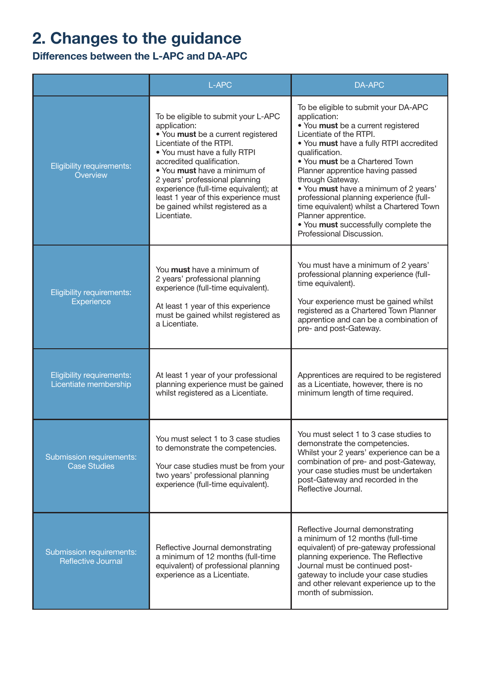# 2. Changes to the guidance

### Differences between the L-APC and DA-APC

|                                                       | L-APC                                                                                                                                                                                                                                                                                                                                                                                   | <b>DA-APC</b>                                                                                                                                                                                                                                                                                                                                                                                                                                                                                           |
|-------------------------------------------------------|-----------------------------------------------------------------------------------------------------------------------------------------------------------------------------------------------------------------------------------------------------------------------------------------------------------------------------------------------------------------------------------------|---------------------------------------------------------------------------------------------------------------------------------------------------------------------------------------------------------------------------------------------------------------------------------------------------------------------------------------------------------------------------------------------------------------------------------------------------------------------------------------------------------|
| <b>Eligibility requirements:</b><br>Overview          | To be eligible to submit your L-APC<br>application:<br>. You must be a current registered<br>Licentiate of the RTPI.<br>. You must have a fully RTPI<br>accredited qualification.<br>. You must have a minimum of<br>2 years' professional planning<br>experience (full-time equivalent); at<br>least 1 year of this experience must<br>be gained whilst registered as a<br>Licentiate. | To be eligible to submit your DA-APC<br>application:<br>. You must be a current registered<br>Licentiate of the RTPI.<br>. You must have a fully RTPI accredited<br>qualification.<br>. You must be a Chartered Town<br>Planner apprentice having passed<br>through Gateway.<br>. You must have a minimum of 2 years'<br>professional planning experience (full-<br>time equivalent) whilst a Chartered Town<br>Planner apprentice.<br>. You must successfully complete the<br>Professional Discussion. |
| <b>Eligibility requirements:</b><br>Experience        | You must have a minimum of<br>2 years' professional planning<br>experience (full-time equivalent).<br>At least 1 year of this experience<br>must be gained whilst registered as<br>a Licentiate.                                                                                                                                                                                        | You must have a minimum of 2 years'<br>professional planning experience (full-<br>time equivalent).<br>Your experience must be gained whilst<br>registered as a Chartered Town Planner<br>apprentice and can be a combination of<br>pre- and post-Gateway.                                                                                                                                                                                                                                              |
| Eligibility requirements:<br>Licentiate membership    | At least 1 year of your professional<br>planning experience must be gained<br>whilst registered as a Licentiate.                                                                                                                                                                                                                                                                        | Apprentices are required to be registered<br>as a Licentiate, however, there is no<br>minimum length of time required.                                                                                                                                                                                                                                                                                                                                                                                  |
| Submission requirements:<br><b>Case Studies</b>       | You must select 1 to 3 case studies<br>to demonstrate the competencies.<br>Your case studies must be from your<br>two years' professional planning<br>experience (full-time equivalent).                                                                                                                                                                                                | You must select 1 to 3 case studies to<br>demonstrate the competencies.<br>Whilst your 2 years' experience can be a<br>combination of pre- and post-Gateway,<br>your case studies must be undertaken<br>post-Gateway and recorded in the<br><b>Reflective Journal</b>                                                                                                                                                                                                                                   |
| Submission requirements:<br><b>Reflective Journal</b> | Reflective Journal demonstrating<br>a minimum of 12 months (full-time<br>equivalent) of professional planning<br>experience as a Licentiate.                                                                                                                                                                                                                                            | Reflective Journal demonstrating<br>a minimum of 12 months (full-time<br>equivalent) of pre-gateway professional<br>planning experience. The Reflective<br>Journal must be continued post-<br>gateway to include your case studies<br>and other relevant experience up to the<br>month of submission.                                                                                                                                                                                                   |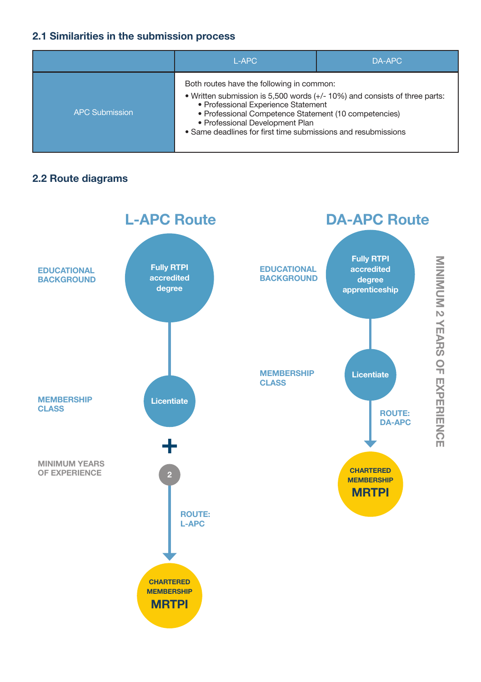#### 2.1 Similarities in the submission process

|                       | L-APC/                                                                                                                                                                                                                                                                                                                      | DA-APC |
|-----------------------|-----------------------------------------------------------------------------------------------------------------------------------------------------------------------------------------------------------------------------------------------------------------------------------------------------------------------------|--------|
| <b>APC Submission</b> | Both routes have the following in common:<br>. Written submission is 5,500 words (+/- 10%) and consists of three parts:<br>• Professional Experience Statement<br>• Professional Competence Statement (10 competencies)<br>• Professional Development Plan<br>• Same deadlines for first time submissions and resubmissions |        |

#### 2.2 Route diagrams